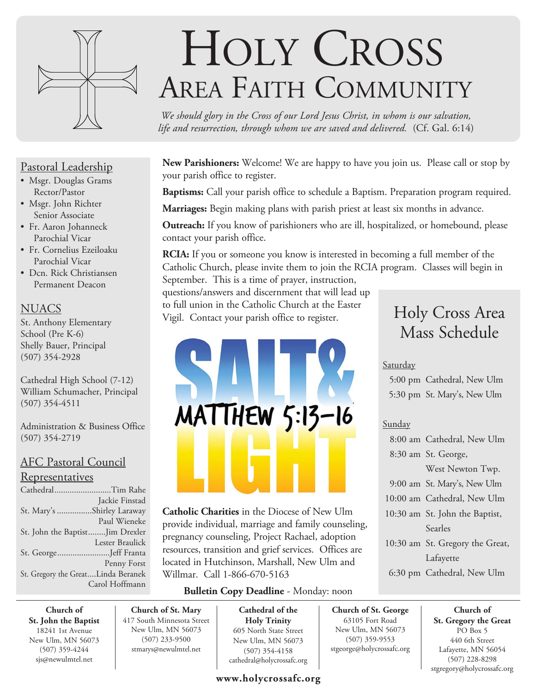

# HOLY CROSS AREA FAITH COMMUNITY

*We should glory in the Cross of our Lord Jesus Christ, in whom is our salvation, life and resurrection, through whom we are saved and delivered.* (Cf. Gal. 6:14)

**New Parishioners:** Welcome! We are happy to have you join us. Please call or stop by your parish office to register.

**Baptisms:** Call your parish office to schedule a Baptism. Preparation program required.

**Marriages:** Begin making plans with parish priest at least six months in advance.

**Outreach:** If you know of parishioners who are ill, hospitalized, or homebound, please contact your parish office.

**RCIA:** If you or someone you know is interested in becoming a full member of the Catholic Church, please invite them to join the RCIA program. Classes will begin in September. This is a time of prayer, instruction,

questions/answers and discernment that will lead up to full union in the Catholic Church at the Easter Vigil. Contact your parish office to register.

# MATTHEW 5:13-16

# Holy Cross Area Mass Schedule

# Saturday

 5:00 pm Cathedral, New Ulm 5:30 pm St. Mary's, New Ulm

# Sunday

**Church of St. George** 63105 Fort Road New Ulm, MN 56073 (507) 359-9553 stgeorge@holycrossafc.org

| 8:00 am Cathedral, New Ulm      |
|---------------------------------|
| 8:30 am St. George,             |
| West Newton Twp.                |
| 9:00 am St. Mary's, New Ulm     |
| 10:00 am Cathedral, New Ulm     |
| 10:30 am St. John the Baptist,  |
| Searles                         |
| 10:30 am St. Gregory the Great, |
| Lafayette                       |
| 6:30 pm Cathedral, New Ulm      |

**Church of St. Gregory the Great**  PO Box 5 440 6th Street Lafayette, MN 56054 (507) 228-8298 stgregory@holycrossafc.org

# Pastoral Leadership

- Msgr. Douglas Grams Rector/Pastor
- Msgr. John Richter Senior Associate
- Fr. Aaron Johanneck Parochial Vicar
- Fr. Cornelius Ezeiloaku Parochial Vicar
- Dcn. Rick Christiansen Permanent Deacon

# **NUACS**

St. Anthony Elementary School (Pre K-6) Shelly Bauer, Principal (507) 354-2928

Cathedral High School (7-12) William Schumacher, Principal (507) 354-4511

Administration & Business Office (507) 354-2719

# AFC Pastoral Council

# Representatives

| CathedralTim Rahe                  |                 |
|------------------------------------|-----------------|
|                                    | Jackie Finstad  |
| St. Mary's Shirley Laraway         |                 |
|                                    | Paul Wieneke    |
| St. John the BaptistJim Drexler    |                 |
|                                    | Lester Braulick |
| St. GeorgeJeff Franta              |                 |
|                                    | Penny Forst     |
| St. Gregory the GreatLinda Beranek |                 |
|                                    | Carol Hoffmann  |

**Catholic Charities** in the Diocese of New Ulm provide individual, marriage and family counseling, pregnancy counseling, Project Rachael, adoption resources, transition and grief services. Offices are located in Hutchinson, Marshall, New Ulm and Willmar. Call 1-866-670-5163

# **Bulletin Copy Deadline** - Monday: noon

**Church of St. John the Baptist** 18241 1st Avenue New Ulm, MN 56073 (507) 359-4244 sjs@newulmtel.net

**Church of St. Mary** 417 South Minnesota Street New Ulm, MN 56073 (507) 233-9500 stmarys@newulmtel.net

**Cathedral of the Holy Trinity** 605 North State Street New Ulm, MN 56073 (507) 354-4158 cathedral@holycrossafc.org

# **www.holycrossafc.org**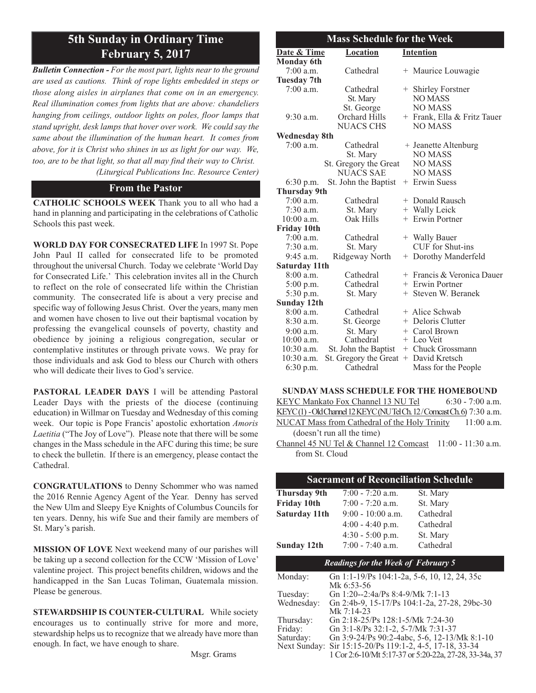# **5th Sunday in Ordinary Time February 5, 2017**

*Bulletin Connection - For the most part, lights near to the ground are used as cautions. Think of rope lights embedded in steps or those along aisles in airplanes that come on in an emergency. Real illumination comes from lights that are above: chandeliers hanging from ceilings, outdoor lights on poles, floor lamps that stand upright, desk lamps that hover over work. We could say the same about the illumination of the human heart. It comes from above, for it is Christ who shines in us as light for our way. We, too, are to be that light, so that all may find their way to Christ. (Liturgical Publications Inc. Resource Center)*

#### **From the Pastor**

**CATHOLIC SCHOOLS WEEK** Thank you to all who had a hand in planning and participating in the celebrations of Catholic Schools this past week.

**WORLD DAY FOR CONSECRATED LIFE** In 1997 St. Pope John Paul II called for consecrated life to be promoted throughout the universal Church. Today we celebrate 'World Day for Consecrated Life.' This celebration invites all in the Church to reflect on the role of consecrated life within the Christian community. The consecrated life is about a very precise and specific way of following Jesus Christ. Over the years, many men and women have chosen to live out their baptismal vocation by professing the evangelical counsels of poverty, chastity and obedience by joining a religious congregation, secular or contemplative institutes or through private vows. We pray for those individuals and ask God to bless our Church with others who will dedicate their lives to God's service.

**PASTORAL LEADER DAYS** I will be attending Pastoral Leader Days with the priests of the diocese (continuing education) in Willmar on Tuesday and Wednesday of this coming week. Our topic is Pope Francis' apostolic exhortation *Amoris Laetitia* ("The Joy of Love"). Please note that there will be some changes in the Mass schedule in the AFC during this time; be sure to check the bulletin. If there is an emergency, please contact the Cathedral.

**CONGRATULATIONS** to Denny Schommer who was named the 2016 Rennie Agency Agent of the Year. Denny has served the New Ulm and Sleepy Eye Knights of Columbus Councils for ten years. Denny, his wife Sue and their family are members of St. Mary's parish.

**MISSION OF LOVE** Next weekend many of our parishes will be taking up a second collection for the CCW 'Mission of Love' valentine project. This project benefits children, widows and the handicapped in the San Lucas Toliman, Guatemala mission. Please be generous.

**STEWARDSHIP IS COUNTER-CULTURAL** While society encourages us to continually strive for more and more, stewardship helps us to recognize that we already have more than enough. In fact, we have enough to share.

| <b>Mass Schedule for the Week</b> |                       |  |                             |  |  |
|-----------------------------------|-----------------------|--|-----------------------------|--|--|
| Date & Time                       | <b>Location</b>       |  | <b>Intention</b>            |  |  |
| <b>Monday 6th</b>                 |                       |  |                             |  |  |
| $7:00$ a.m.                       | Cathedral             |  | + Maurice Louwagie          |  |  |
| <b>Tuesday 7th</b>                |                       |  |                             |  |  |
| $7:00$ a.m.                       | Cathedral             |  | + Shirley Forstner          |  |  |
|                                   | St. Mary              |  | <b>NO MASS</b>              |  |  |
|                                   | St. George            |  | <b>NO MASS</b>              |  |  |
| $9:30$ a.m.                       | Orchard Hills         |  | + Frank, Ella & Fritz Tauer |  |  |
|                                   | <b>NUACS CHS</b>      |  | NO MASS                     |  |  |
| <b>Wednesday 8th</b>              |                       |  |                             |  |  |
| $7:00$ a.m.                       | Cathedral             |  | + Jeanette Altenburg        |  |  |
|                                   | St. Mary              |  | <b>NO MASS</b>              |  |  |
|                                   | St. Gregory the Great |  | <b>NO MASS</b>              |  |  |
|                                   | <b>NUACS SAE</b>      |  | <b>NO MASS</b>              |  |  |
| 6:30 p.m.                         | St. John the Baptist  |  | + Erwin Suess               |  |  |
| <b>Thursday 9th</b>               |                       |  |                             |  |  |
| $7:00$ a.m.                       | Cathedral             |  | + Donald Rausch             |  |  |
| $7:30$ a.m.                       | St. Mary              |  | + Wally Leick               |  |  |
| $10:00$ a.m.                      | Oak Hills             |  | + Erwin Portner             |  |  |
| <b>Friday 10th</b>                |                       |  |                             |  |  |
| $7:00$ a.m.                       | Cathedral             |  | + Wally Bauer               |  |  |
| $7:30$ a.m.                       | St. Mary              |  | CUF for Shut-ins            |  |  |
| $9:45$ a.m.                       | Ridgeway North        |  | + Dorothy Manderfeld        |  |  |
| Saturday 11th                     |                       |  |                             |  |  |
| $8:00$ a.m.                       | Cathedral             |  | + Francis & Veronica Dauer  |  |  |
| 5:00 p.m.                         | Cathedral             |  | + Erwin Portner             |  |  |
| 5:30 p.m.                         | St. Mary              |  | + Steven W. Beranek         |  |  |
| <b>Sunday 12th</b>                |                       |  |                             |  |  |
| $8:00$ a.m.                       | Cathedral             |  | + Alice Schwab              |  |  |
| 8:30 a.m.                         | St. George            |  | + Deloris Clutter           |  |  |
| $9:00$ a.m.                       | St. Mary              |  | + Carol Brown               |  |  |
| $10:00$ a.m.                      | Cathedral             |  | + Leo Veit                  |  |  |
| $10:30$ a.m.                      | St. John the Baptist  |  | + Chuck Grossmann           |  |  |
| $10:30$ a.m.                      | St. Gregory the Great |  | + David Kretsch             |  |  |
| $6:30$ p.m.                       | Cathedral             |  | Mass for the People         |  |  |

| <b>SUNDAY MASS SCHEDULE FOR THE HOMEBOUND</b>                        |  |  |
|----------------------------------------------------------------------|--|--|
| KEYC Mankato Fox Channel 13 NU Tel 6:30 - 7:00 a.m.                  |  |  |
| KEYC(1) - Old Channel 12 KEYC (NUTel Ch. 12/Comcast Ch. 6) 7:30 a.m. |  |  |
| NUCAT Mass from Cathedral of the Holy Trinity 11:00 a.m.             |  |  |
| (doesn't run all the time)                                           |  |  |
| Channel 45 NU Tel & Channel 12 Comcast 11:00 - 11:30 a.m.            |  |  |
| from St. Cloud                                                       |  |  |

| <b>Sacrament of Reconciliation Schedule</b>                          |                                              |                                                        |  |  |  |
|----------------------------------------------------------------------|----------------------------------------------|--------------------------------------------------------|--|--|--|
| Thursday 9th                                                         | $7:00 - 7:20$ a.m.                           | St. Mary                                               |  |  |  |
| <b>Friday 10th</b>                                                   | $7:00 - 7:20$ a.m.                           | St. Mary                                               |  |  |  |
| Saturday 11th                                                        | $9:00 - 10:00$ a.m.                          | Cathedral                                              |  |  |  |
|                                                                      | $4:00 - 4:40$ p.m.                           | Cathedral                                              |  |  |  |
|                                                                      | $4:30 - 5:00$ p.m.                           | St. Mary                                               |  |  |  |
| <b>Sunday 12th</b>                                                   | $7:00 - 7:40$ a.m.                           | Cathedral                                              |  |  |  |
| <b>Readings for the Week of February 5</b>                           |                                              |                                                        |  |  |  |
| Monday:<br>Gn 1:1-19/Ps 104:1-2a, 5-6, 10, 12, 24, 35c<br>Mk 6:53-56 |                                              |                                                        |  |  |  |
| Tuesday:                                                             | Gn 1:20--2:4a/Ps 8:4-9/Mk 7:1-13             |                                                        |  |  |  |
| Wednesday:                                                           | Gn 2:4b-9, 15-17/Ps 104:1-2a, 27-28, 29bc-30 |                                                        |  |  |  |
|                                                                      | Mk 7:14-23                                   |                                                        |  |  |  |
| Thursday:                                                            | Gn 2:18-25/Ps 128:1-5/Mk 7:24-30             |                                                        |  |  |  |
| Friday:                                                              | Gn 3:1-8/Ps 32:1-2, 5-7/Mk 7:31-37           |                                                        |  |  |  |
| Saturday:                                                            |                                              | Gn 3:9-24/Ps 90:2-4abc, 5-6, 12-13/Mk 8:1-10           |  |  |  |
| Next Sunday:                                                         | Sir 15:15-20/Ps 119:1-2, 4-5, 17-18, 33-34   |                                                        |  |  |  |
|                                                                      |                                              | 1 Cor 2:6-10/Mt 5:17-37 or 5:20-22a, 27-28, 33-34a, 37 |  |  |  |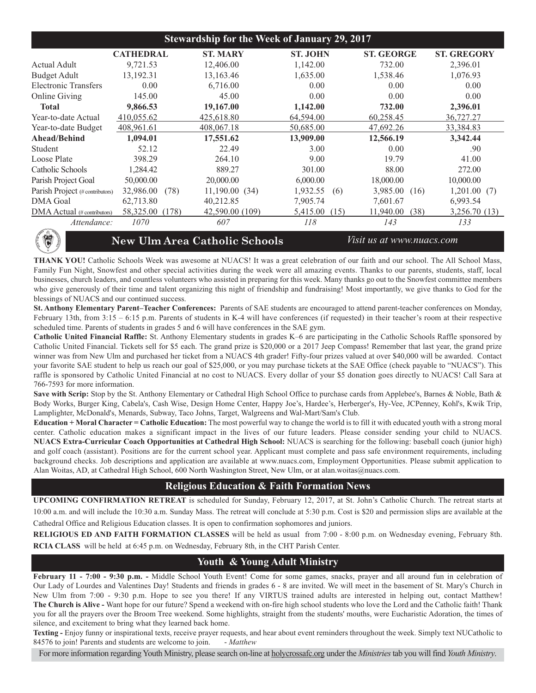| <b>Stewardship for the Week of January 29, 2017</b> |                                                                   |                 |                  |                   |                    |
|-----------------------------------------------------|-------------------------------------------------------------------|-----------------|------------------|-------------------|--------------------|
|                                                     | <b>CATHEDRAL</b>                                                  | <b>ST. MARY</b> | <b>ST. JOHN</b>  | <b>ST. GEORGE</b> | <b>ST. GREGORY</b> |
| Actual Adult                                        | 9,721.53                                                          | 12,406.00       | 1,142.00         | 732.00            | 2,396.01           |
| <b>Budget Adult</b>                                 | 13,192.31                                                         | 13,163.46       | 1,635.00         | 1,538.46          | 1,076.93           |
| <b>Electronic Transfers</b>                         | 0.00                                                              | 6,716.00        | 0.00             | 0.00              | 0.00               |
| Online Giving                                       | 145.00                                                            | 45.00           | 0.00             | 0.00              | 0.00               |
| <b>Total</b>                                        | 9,866.53                                                          | 19,167.00       | 1,142.00         | 732.00            | 2,396.01           |
| Year-to-date Actual                                 | 410,055.62                                                        | 425,618.80      | 64,594.00        | 60,258.45         | 36,727.27          |
| Year-to-date Budget                                 | 408,961.61                                                        | 408,067.18      | 50,685.00        | 47,692.26         | 33,384.83          |
| Ahead/Behind                                        | 1,094.01                                                          | 17,551.62       | 13,909.00        | 12,566.19         | 3,342.44           |
| Student                                             | 52.12                                                             | 22.49           | 3.00             | 0.00              | .90                |
| Loose Plate                                         | 398.29                                                            | 264.10          | 9.00             | 19.79             | 41.00              |
| Catholic Schools                                    | 1,284.42                                                          | 889.27          | 301.00           | 88.00             | 272.00             |
| Parish Project Goal                                 | 50,000.00                                                         | 20,000.00       | 6,000.00         | 18,000.00         | 10,000.00          |
| Parish Project (# contributors)                     | 32,986.00<br>(78)                                                 | 11,190.00(34)   | 1,932.55<br>(6)  | 3,985.00<br>(16)  | 1,201.00(7)        |
| <b>DMA</b> Goal                                     | 62,713.80                                                         | 40,212.85       | 7,905.74         | 7,601.67          | 6,993.54           |
| DMA Actual (# contributors)                         | 58,325.00<br>(178)                                                | 42,590.00 (109) | 5,415.00<br>(15) | 11,940.00<br>(38) | 3,256.70 (13)      |
| Attendance:                                         | 1070                                                              | 607             | 118              | 143               | 133                |
| 得                                                   | <b>New Ulm Area Catholic Schools</b><br>Visit us at www.nuacs.com |                 |                  |                   |                    |

#### **New Ulm Area Catholic Schools** *Visit us at www.nuacs.com*

**THANK YOU!** Catholic Schools Week was awesome at NUACS! It was a great celebration of our faith and our school. The All School Mass, Family Fun Night, Snowfest and other special activities during the week were all amazing events. Thanks to our parents, students, staff, local businesses, church leaders, and countless volunteers who assisted in preparing for this week. Many thanks go out to the Snowfest committee members who give generously of their time and talent organizing this night of friendship and fundraising! Most importantly, we give thanks to God for the blessings of NUACS and our continued success.

**St. Anthony Elementary Parent–Teacher Conferences:** Parents of SAE students are encouraged to attend parent-teacher conferences on Monday, February 13th, from 3:15 – 6:15 p.m. Parents of students in K-4 will have conferences (if requested) in their teacher's room at their respective scheduled time. Parents of students in grades 5 and 6 will have conferences in the SAE gym.

**Catholic United Financial Raffle:** St. Anthony Elementary students in grades K–6 are participating in the Catholic Schools Raffle sponsored by Catholic United Financial. Tickets sell for \$5 each. The grand prize is \$20,000 or a 2017 Jeep Compass! Remember that last year, the grand prize winner was from New Ulm and purchased her ticket from a NUACS 4th grader! Fifty-four prizes valued at over \$40,000 will be awarded. Contact your favorite SAE student to help us reach our goal of \$25,000, or you may purchase tickets at the SAE Office (check payable to "NUACS"). This raffle is sponsored by Catholic United Financial at no cost to NUACS. Every dollar of your \$5 donation goes directly to NUACS! Call Sara at 766-7593 for more information.

Save with Scrip: Stop by the St. Anthony Elementary or Cathedral High School Office to purchase cards from Applebee's, Barnes & Noble, Bath & Body Works, Burger King, Cabela's, Cash Wise, Design Home Center, Happy Joe's, Hardee's, Herberger's, Hy-Vee, JCPenney, Kohl's, Kwik Trip, Lamplighter, McDonald's, Menards, Subway, Taco Johns, Target, Walgreens and Wal-Mart/Sam's Club.

**Education + Moral Character = Catholic Education:** The most powerful way to change the world is to fill it with educated youth with a strong moral center. Catholic education makes a significant impact in the lives of our future leaders. Please consider sending your child to NUACS. **NUACS Extra-Curricular Coach Opportunities at Cathedral High School:** NUACS is searching for the following: baseball coach (junior high) and golf coach (assistant). Positions are for the current school year. Applicant must complete and pass safe environment requirements, including background checks. Job descriptions and application are available at www.nuacs.com, Employment Opportunities. Please submit application to Alan Woitas, AD, at Cathedral High School, 600 North Washington Street, New Ulm, or at alan.woitas@nuacs.com.

# **Religious Education & Faith Formation News**

**UPCOMING CONFIRMATION RETREAT** is scheduled for Sunday, February 12, 2017, at St. John's Catholic Church. The retreat starts at 10:00 a.m. and will include the 10:30 a.m. Sunday Mass. The retreat will conclude at 5:30 p.m. Cost is \$20 and permission slips are available at the

Cathedral Office and Religious Education classes. It is open to confirmation sophomores and juniors.

**RELIGIOUS ED AND FAITH FORMATION CLASSES** will be held as usual from 7:00 - 8:00 p.m. on Wednesday evening, February 8th. **RCIA CLASS** will be held at 6:45 p.m. on Wednesday, February 8th, in the CHT Parish Center.

# **Youth & Young Adult Ministry**

**February 11 - 7:00 - 9:30 p.m. -** Middle School Youth Event! Come for some games, snacks, prayer and all around fun in celebration of Our Lady of Lourdes and Valentines Day! Students and friends in grades 6 - 8 are invited. We will meet in the basement of St. Mary's Church in New Ulm from 7:00 - 9:30 p.m. Hope to see you there! If any VIRTUS trained adults are interested in helping out, contact Matthew! **The Church is Alive -** Want hope for our future? Spend a weekend with on-fire high school students who love the Lord and the Catholic faith! Thank you for all the prayers over the Broom Tree weekend. Some highlights, straight from the students' mouths, were Eucharistic Adoration, the times of silence, and excitement to bring what they learned back home.

**Texting -** Enjoy funny or inspirational texts, receive prayer requests, and hear about event reminders throughout the week. Simply text NUCatholic to 84576 to join! Parents and students are welcome to join. - *Matthew*

For more information regarding Youth Ministry, please search on-line at holycrossafc.org under the *Ministries*tab you will find *Youth Ministry*.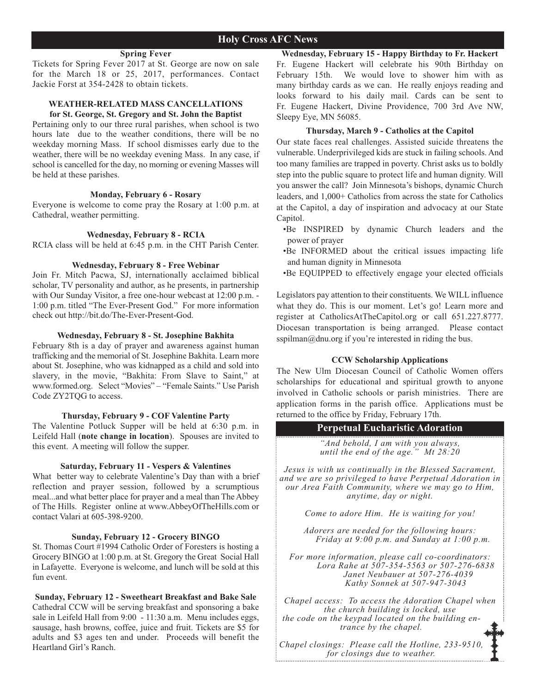#### **Spring Fever**

Tickets for Spring Fever 2017 at St. George are now on sale for the March 18 or 25, 2017, performances. Contact Jackie Forst at 354-2428 to obtain tickets.

#### **WEATHER-RELATED MASS CANCELLATIONS for St. George, St. Gregory and St. John the Baptist**

Pertaining only to our three rural parishes, when school is two hours late due to the weather conditions, there will be no weekday morning Mass. If school dismisses early due to the weather, there will be no weekday evening Mass. In any case, if school is cancelled for the day, no morning or evening Masses will be held at these parishes.

#### **Monday, February 6 - Rosary**

Everyone is welcome to come pray the Rosary at 1:00 p.m. at Cathedral, weather permitting.

#### **Wednesday, February 8 - RCIA**

RCIA class will be held at 6:45 p.m. in the CHT Parish Center.

#### **Wednesday, February 8 - Free Webinar**

Join Fr. Mitch Pacwa, SJ, internationally acclaimed biblical scholar, TV personality and author, as he presents, in partnership with Our Sunday Visitor, a free one-hour webcast at 12:00 p.m. - 1:00 p.m. titled "The Ever-Present God." For more information check out http://bit.do/The-Ever-Present-God.

#### **Wednesday, February 8 - St. Josephine Bakhita**

February 8th is a day of prayer and awareness against human trafficking and the memorial of St. Josephine Bakhita. Learn more about St. Josephine, who was kidnapped as a child and sold into slavery, in the movie, "Bakhita: From Slave to Saint," at www.formed.org. Select "Movies" – "Female Saints." Use Parish Code ZY2TQG to access.

#### **Thursday, February 9 - COF Valentine Party**

The Valentine Potluck Supper will be held at 6:30 p.m. in Leifeld Hall (**note change in location**). Spouses are invited to this event. A meeting will follow the supper.

#### **Saturday, February 11 - Vespers & Valentines**

What better way to celebrate Valentine's Day than with a brief reflection and prayer session, followed by a scrumptious meal...and what better place for prayer and a meal than The Abbey of The Hills. Register online at www.AbbeyOfTheHills.com or contact Valari at 605-398-9200.

#### **Sunday, February 12 - Grocery BINGO**

St. Thomas Court #1994 Catholic Order of Foresters is hosting a Grocery BINGO at 1:00 p.m. at St. Gregory the Great Social Hall in Lafayette. Everyone is welcome, and lunch will be sold at this fun event.

**Sunday, February 12 - Sweetheart Breakfast and Bake Sale** Cathedral CCW will be serving breakfast and sponsoring a bake sale in Leifeld Hall from 9:00 - 11:30 a.m. Menu includes eggs, sausage, hash browns, coffee, juice and fruit. Tickets are \$5 for adults and \$3 ages ten and under. Proceeds will benefit the Heartland Girl's Ranch.

**Wednesday, February 15 - Happy Birthday to Fr. Hackert** Fr. Eugene Hackert will celebrate his 90th Birthday on February 15th. We would love to shower him with as many birthday cards as we can. He really enjoys reading and looks forward to his daily mail. Cards can be sent to Fr. Eugene Hackert, Divine Providence, 700 3rd Ave NW, Sleepy Eye, MN 56085.

#### **Thursday, March 9 - Catholics at the Capitol**

Our state faces real challenges. Assisted suicide threatens the vulnerable. Underprivileged kids are stuck in failing schools. And too many families are trapped in poverty. Christ asks us to boldly step into the public square to protect life and human dignity. Will you answer the call? Join Minnesota's bishops, dynamic Church leaders, and 1,000+ Catholics from across the state for Catholics at the Capitol, a day of inspiration and advocacy at our State Capitol.

- •Be INSPIRED by dynamic Church leaders and the power of prayer
- •Be INFORMED about the critical issues impacting life and human dignity in Minnesota
- •Be EQUIPPED to effectively engage your elected officials

Legislators pay attention to their constituents. We WILL influence what they do. This is our moment. Let's go! Learn more and register at CatholicsAtTheCapitol.org or call 651.227.8777. Diocesan transportation is being arranged. Please contact sspilman@dnu.org if you're interested in riding the bus.

#### **CCW Scholarship Applications**

The New Ulm Diocesan Council of Catholic Women offers scholarships for educational and spiritual growth to anyone involved in Catholic schools or parish ministries. There are application forms in the parish office. Applications must be returned to the office by Friday, February 17th.

#### **Perpetual Eucharistic Adoration**

*"And behold, I am with you always, until the end of the age." Mt 28:20*

*Jesus is with us continually in the Blessed Sacrament, and we are so privileged to have Perpetual Adoration in our Area Faith Community, where we may go to Him, anytime, day or night.* 

*Come to adore Him. He is waiting for you!*

*Adorers are needed for the following hours: Friday at 9:00 p.m. and Sunday at 1:00 p.m.*

*For more information, please call co-coordinators: Lora Rahe at 507-354-5563 or 507-276-6838 Janet Neubauer at 507-276-4039 Kathy Sonnek at 507-947-3043*

*Chapel access: To access the Adoration Chapel when the church building is locked, use the code on the keypad located on the building entrance by the chapel.*

*Chapel closings: Please call the Hotline, 233-9510, for closings due to weather.*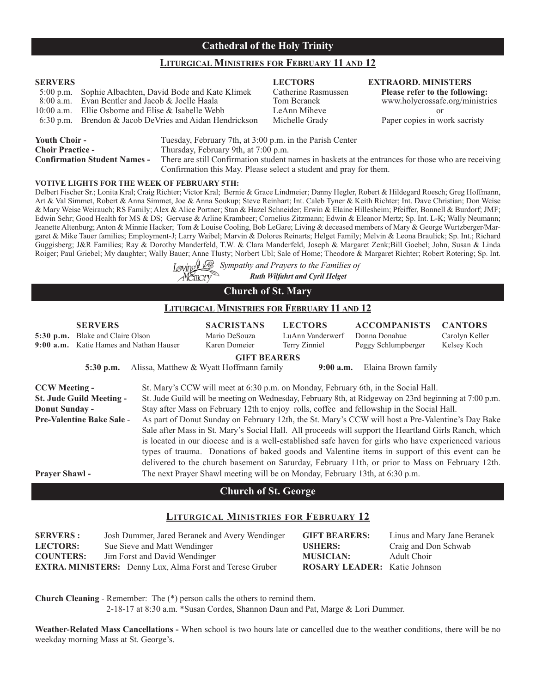# **Cathedral of the Holy Trinity**

#### **LITURGICAL MINISTRIES FOR FEBRUARY 11 AND 12**

# **SERVERS LECTORS EXTRAORD. MINISTERS** 5:00 p.m. Sophie Albachten, David Bode and Kate Klimek Catherine Rasmussen **Please refer to the following:** Evan Bentler and Jacob & Joelle Haala 10:00 a.m. Ellie Osborne and Elise & Isabelle Webb LeAnn Miheve or 6:30 p.m. Brendon & Jacob DeVries and Aidan Hendrickson Michelle Grady Paper copies in work sacristy **Youth Choir -** Tuesday, February 7th, at 3:00 p.m. in the Parish Center

| Youth Choir -                       | Tuesday, February 7th, at 3:00 p.m. in the Parish Center                                           |
|-------------------------------------|----------------------------------------------------------------------------------------------------|
| <b>Choir Practice -</b>             | Thursday, February 9th, at 7:00 p.m.                                                               |
| <b>Confirmation Student Names -</b> | There are still Confirmation student names in baskets at the entrances for those who are receiving |
|                                     | Confirmation this May. Please select a student and pray for them.                                  |

#### **VOTIVE LIGHTS FOR THE WEEK OF FEBRUARY 5TH:**

Delbert Fischer Sr.; Lonita Kral; Craig Richter; Victor Kral; Bernie & Grace Lindmeier; Danny Hegler, Robert & Hildegard Roesch; Greg Hoffmann, Art & Val Simmet, Robert & Anna Simmet, Joe & Anna Soukup; Steve Reinhart; Int. Caleb Tyner & Keith Richter; Int. Dave Christian; Don Weise & Mary Weise Weirauch; RS Family; Alex & Alice Portner; Stan & Hazel Schneider; Erwin & Elaine Hillesheim; Pfeiffer, Bonnell & Burdorf; JMF; Edwin Sehr; Good Health for MS & DS; Gervase & Arline Krambeer; Cornelius Zitzmann; Edwin & Eleanor Mertz; Sp. Int. L-K; Wally Neumann; Jeanette Altenburg; Anton & Minnie Hacker; Tom & Louise Cooling, Bob LeGare; Living & deceased members of Mary & George Wurtzberger/Margaret & Mike Tauer families; Employment-J; Larry Waibel; Marvin & Dolores Reinarts; Helget Family; Melvin & Leona Braulick; Sp. Int.; Richard Guggisberg; J&R Families; Ray & Dorothy Manderfeld, T.W. & Clara Manderfeld, Joseph & Margaret Zenk;Bill Goebel; John, Susan & Linda Roiger; Paul Griebel; My daughter; Wally Bauer; Anne Tlusty; Norbert Ubl; Sale of Home; Theodore & Margaret Richter; Robert Rotering; Sp. Int.

> *Sympathy and Prayers to the Families of Ruth Wilfahrt and Cyril Helget* Mĕmorv

| <b>Church of St. Mary</b> |  |
|---------------------------|--|
|---------------------------|--|

#### **LITURGICAL MINISTRIES FOR FEBRUARY 11 AND 12**

| 5:30 p.m.<br>$9:00$ a.m.                                       | <b>SERVERS</b><br>Blake and Claire Olson<br>Katie Hames and Nathan Hauser | <b>SACRISTANS</b><br>Mario DeSouza<br>Karen Domeier                          | <b>LECTORS</b><br>LuAnn Vanderwerf<br>Terry Zinniel | <b>ACCOMPANISTS</b><br>Donna Donahue<br>Peggy Schlumpberger                                                                                                                                                                                                                                                                                                                                                                                                                                                                                                                                                                                                                                                                                                                                                          | <b>CANTORS</b><br>Carolyn Keller<br>Kelsey Koch |
|----------------------------------------------------------------|---------------------------------------------------------------------------|------------------------------------------------------------------------------|-----------------------------------------------------|----------------------------------------------------------------------------------------------------------------------------------------------------------------------------------------------------------------------------------------------------------------------------------------------------------------------------------------------------------------------------------------------------------------------------------------------------------------------------------------------------------------------------------------------------------------------------------------------------------------------------------------------------------------------------------------------------------------------------------------------------------------------------------------------------------------------|-------------------------------------------------|
|                                                                | $5:30$ p.m.                                                               | <b>GIFT BEARERS</b><br>Alissa, Matthew & Wyatt Hoffmann family               | $9:00$ a.m.                                         | Elaina Brown family                                                                                                                                                                                                                                                                                                                                                                                                                                                                                                                                                                                                                                                                                                                                                                                                  |                                                 |
| <b>CCW Meeting -</b><br>Donut Sunday -<br><b>Prayer Shawl-</b> | <b>St. Jude Guild Meeting -</b><br><b>Pre-Valentine Bake Sale -</b>       | The next Prayer Shawl meeting will be on Monday, February 13th, at 6:30 p.m. |                                                     | St. Mary's CCW will meet at 6:30 p.m. on Monday, February 6th, in the Social Hall.<br>St. Jude Guild will be meeting on Wednesday, February 8th, at Ridgeway on 23rd beginning at 7:00 p.m.<br>Stay after Mass on February 12th to enjoy rolls, coffee and fellowship in the Social Hall.<br>As part of Donut Sunday on February 12th, the St. Mary's CCW will host a Pre-Valentine's Day Bake<br>Sale after Mass in St. Mary's Social Hall. All proceeds will support the Heartland Girls Ranch, which<br>is located in our diocese and is a well-established safe haven for girls who have experienced various<br>types of trauma. Donations of baked goods and Valentine items in support of this event can be<br>delivered to the church basement on Saturday, February 11th, or prior to Mass on February 12th. |                                                 |

#### **Church of St. George**

# **LITURGICAL MINISTRIES FOR FEBRUARY 12**

| <b>SERVERS</b> : | Josh Dummer, Jared Beranek and Avery Wendinger                   | <b>GIFT BEARERS:</b>                | Linus and Mary Jane Beranek |
|------------------|------------------------------------------------------------------|-------------------------------------|-----------------------------|
| <b>LECTORS:</b>  | Sue Sieve and Matt Wendinger                                     | <b>USHERS:</b>                      | Craig and Don Schwab        |
| <b>COUNTERS:</b> | Jim Forst and David Wendinger                                    | <b>MUSICIAN:</b>                    | Adult Choir                 |
|                  | <b>EXTRA. MINISTERS:</b> Denny Lux, Alma Forst and Terese Gruber | <b>ROSARY LEADER:</b> Katie Johnson |                             |

**Church Cleaning** - Remember: The (\*) person calls the others to remind them.

2-18-17 at 8:30 a.m. \*Susan Cordes, Shannon Daun and Pat, Marge & Lori Dummer.

**Weather-Related Mass Cancellations -** When school is two hours late or cancelled due to the weather conditions, there will be no weekday morning Mass at St. George's.